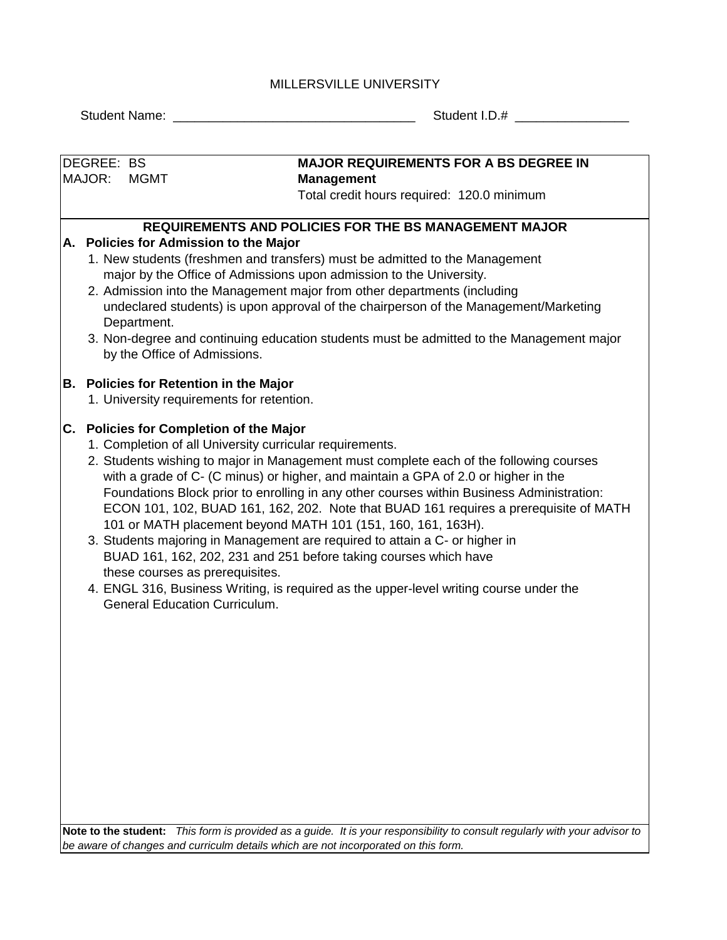## MILLERSVILLE UNIVERSITY

DEGREE: BS MAJOR: MGMT

Student Name: \_\_\_\_\_\_\_\_\_\_\_\_\_\_\_\_\_\_\_\_\_\_\_\_\_\_\_\_\_\_\_\_\_\_ Student I.D.# \_\_\_\_\_\_\_\_\_\_\_\_\_\_\_\_

# **MAJOR REQUIREMENTS FOR A BS DEGREE IN Management**

Total credit hours required: 120.0 minimum

## **REQUIREMENTS AND POLICIES FOR THE BS MANAGEMENT MAJOR**

### **A. Policies for Admission to the Major**

- 1. New students (freshmen and transfers) must be admitted to the Management major by the Office of Admissions upon admission to the University.
- 2. Admission into the Management major from other departments (including undeclared students) is upon approval of the chairperson of the Management/Marketing Department.
- 3. Non-degree and continuing education students must be admitted to the Management major by the Office of Admissions.

### **B. Policies for Retention in the Major**

1. University requirements for retention.

# **C. Policies for Completion of the Major**

- 1. Completion of all University curricular requirements.
- 2. Students wishing to major in Management must complete each of the following courses Foundations Block prior to enrolling in any other courses within Business Administration: with a grade of C- (C minus) or higher, and maintain a GPA of 2.0 or higher in the ECON 101, 102, BUAD 161, 162, 202. Note that BUAD 161 requires a prerequisite of MATH 101 or MATH placement beyond MATH 101 (151, 160, 161, 163H).
- 3. Students majoring in Management are required to attain a C- or higher in BUAD 161, 162, 202, 231 and 251 before taking courses which have these courses as prerequisites.
- 4. ENGL 316, Business Writing, is required as the upper-level writing course under the General Education Curriculum.

**Note to the student:** *This form is provided as a guide. It is your responsibility to consult regularly with your advisor to be aware of changes and curriculm details which are not incorporated on this form.*